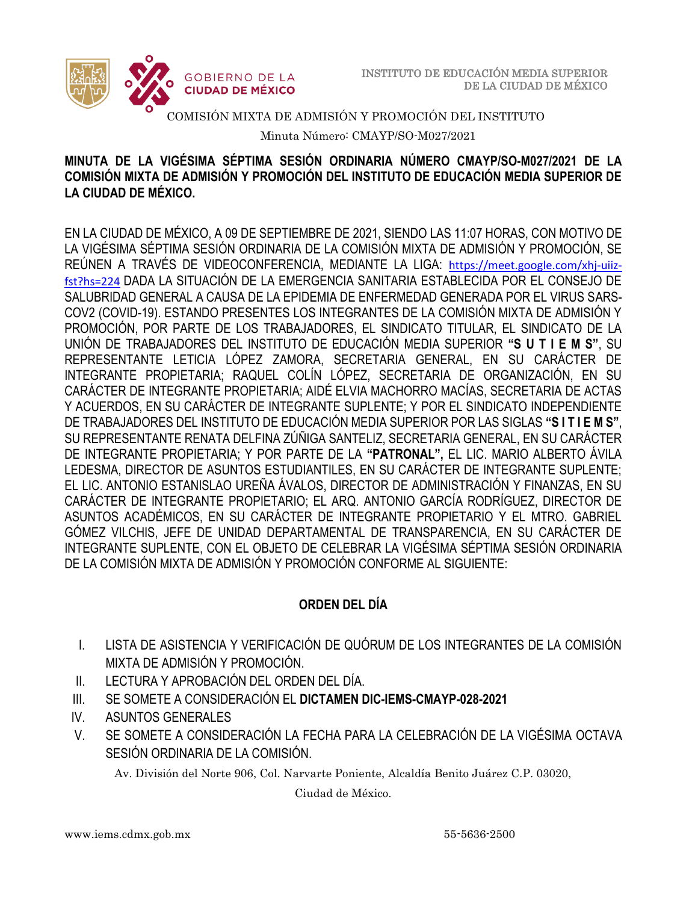

### COMISIÓN MIXTA DE ADMISIÓN Y PROMOCIÓN DEL INSTITUTO

Minuta Número: CMAYP/SO-M027/2021

### **MINUTA DE LA VIGÉSIMA SÉPTIMA SESIÓN ORDINARIA NÚMERO CMAYP/SO-M027/2021 DE LA COMISIÓN MIXTA DE ADMISIÓN Y PROMOCIÓN DEL INSTITUTO DE EDUCACIÓN MEDIA SUPERIOR DE LA CIUDAD DE MÉXICO.**

EN LA CIUDAD DE MÉXICO, A 09 DE SEPTIEMBRE DE 2021, SIENDO LAS 11:07 HORAS, CON MOTIVO DE LA VIGÉSIMA SÉPTIMA SESIÓN ORDINARIA DE LA COMISIÓN MIXTA DE ADMISIÓN Y PROMOCIÓN, SE REÚNEN A TRAVÉS DE VIDEOCONFERENCIA, MEDIANTE LA LIGA: [https://meet.google.com/xhj-uiiz](https://meet.google.com/xhj-uiiz-fst?hs=224)[fst?hs=224](https://meet.google.com/xhj-uiiz-fst?hs=224) DADA LA SITUACIÓN DE LA EMERGENCIA SANITARIA ESTABLECIDA POR EL CONSEJO DE SALUBRIDAD GENERAL A CAUSA DE LA EPIDEMIA DE ENFERMEDAD GENERADA POR EL VIRUS SARS-COV2 (COVID-19). ESTANDO PRESENTES LOS INTEGRANTES DE LA COMISIÓN MIXTA DE ADMISIÓN Y PROMOCIÓN, POR PARTE DE LOS TRABAJADORES, EL SINDICATO TITULAR, EL SINDICATO DE LA UNIÓN DE TRABAJADORES DEL INSTITUTO DE EDUCACIÓN MEDIA SUPERIOR **"S U T I E M S"**, SU REPRESENTANTE LETICIA LÓPEZ ZAMORA, SECRETARIA GENERAL, EN SU CARÁCTER DE INTEGRANTE PROPIETARIA; RAQUEL COLÍN LÓPEZ, SECRETARIA DE ORGANIZACIÓN, EN SU CARÁCTER DE INTEGRANTE PROPIETARIA; AIDÉ ELVIA MACHORRO MACÍAS, SECRETARIA DE ACTAS Y ACUERDOS, EN SU CARÁCTER DE INTEGRANTE SUPLENTE; Y POR EL SINDICATO INDEPENDIENTE DE TRABAJADORES DEL INSTITUTO DE EDUCACIÓN MEDIA SUPERIOR POR LAS SIGLAS **"S I T I E M S"**, SU REPRESENTANTE RENATA DELFINA ZÚÑIGA SANTELIZ, SECRETARIA GENERAL, EN SU CARÁCTER DE INTEGRANTE PROPIETARIA; Y POR PARTE DE LA **"PATRONAL",** EL LIC. MARIO ALBERTO ÁVILA LEDESMA, DIRECTOR DE ASUNTOS ESTUDIANTILES, EN SU CARÁCTER DE INTEGRANTE SUPLENTE; EL LIC. ANTONIO ESTANISLAO UREÑA ÁVALOS, DIRECTOR DE ADMINISTRACIÓN Y FINANZAS, EN SU CARÁCTER DE INTEGRANTE PROPIETARIO; EL ARQ. ANTONIO GARCÍA RODRÍGUEZ, DIRECTOR DE ASUNTOS ACADÉMICOS, EN SU CARÁCTER DE INTEGRANTE PROPIETARIO Y EL MTRO. GABRIEL GÓMEZ VILCHIS, JEFE DE UNIDAD DEPARTAMENTAL DE TRANSPARENCIA, EN SU CARÁCTER DE INTEGRANTE SUPLENTE, CON EL OBJETO DE CELEBRAR LA VIGÉSIMA SÉPTIMA SESIÓN ORDINARIA DE LA COMISIÓN MIXTA DE ADMISIÓN Y PROMOCIÓN CONFORME AL SIGUIENTE:

### **ORDEN DEL DÍA**

- I. LISTA DE ASISTENCIA Y VERIFICACIÓN DE QUÓRUM DE LOS INTEGRANTES DE LA COMISIÓN MIXTA DE ADMISIÓN Y PROMOCIÓN.
- II. LECTURA Y APROBACIÓN DEL ORDEN DEL DÍA.
- III. SE SOMETE A CONSIDERACIÓN EL **DICTAMEN DIC-IEMS-CMAYP-028-2021**
- IV. ASUNTOS GENERALES
- V. SE SOMETE A CONSIDERACIÓN LA FECHA PARA LA CELEBRACIÓN DE LA VIGÉSIMA OCTAVA SESIÓN ORDINARIA DE LA COMISIÓN.

Av. División del Norte 906, Col. Narvarte Poniente, Alcaldía Benito Juárez C.P. 03020,

Ciudad de México.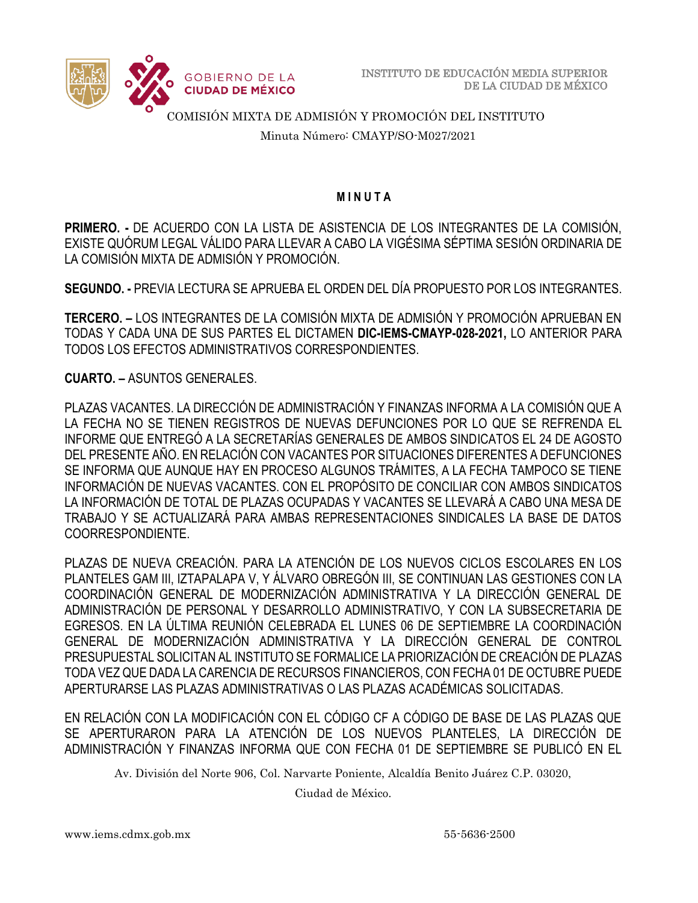

COMISIÓN MIXTA DE ADMISIÓN Y PROMOCIÓN DEL INSTITUTO

Minuta Número: CMAYP/SO-M027/2021

### **M I N U T A**

**PRIMERO. -** DE ACUERDO CON LA LISTA DE ASISTENCIA DE LOS INTEGRANTES DE LA COMISIÓN, EXISTE QUÓRUM LEGAL VÁLIDO PARA LLEVAR A CABO LA VIGÉSIMA SÉPTIMA SESIÓN ORDINARIA DE LA COMISIÓN MIXTA DE ADMISIÓN Y PROMOCIÓN.

**SEGUNDO. -** PREVIA LECTURA SE APRUEBA EL ORDEN DEL DÍA PROPUESTO POR LOS INTEGRANTES.

**TERCERO. –** LOS INTEGRANTES DE LA COMISIÓN MIXTA DE ADMISIÓN Y PROMOCIÓN APRUEBAN EN TODAS Y CADA UNA DE SUS PARTES EL DICTAMEN **DIC-IEMS-CMAYP-028-2021,** LO ANTERIOR PARA TODOS LOS EFECTOS ADMINISTRATIVOS CORRESPONDIENTES.

**CUARTO. –** ASUNTOS GENERALES.

PLAZAS VACANTES. LA DIRECCIÓN DE ADMINISTRACIÓN Y FINANZAS INFORMA A LA COMISIÓN QUE A LA FECHA NO SE TIENEN REGISTROS DE NUEVAS DEFUNCIONES POR LO QUE SE REFRENDA EL INFORME QUE ENTREGÓ A LA SECRETARÍAS GENERALES DE AMBOS SINDICATOS EL 24 DE AGOSTO DEL PRESENTE AÑO. EN RELACIÓN CON VACANTES POR SITUACIONES DIFERENTES A DEFUNCIONES SE INFORMA QUE AUNQUE HAY EN PROCESO ALGUNOS TRÁMITES, A LA FECHA TAMPOCO SE TIENE INFORMACIÓN DE NUEVAS VACANTES. CON EL PROPÓSITO DE CONCILIAR CON AMBOS SINDICATOS LA INFORMACIÓN DE TOTAL DE PLAZAS OCUPADAS Y VACANTES SE LLEVARÁ A CABO UNA MESA DE TRABAJO Y SE ACTUALIZARÁ PARA AMBAS REPRESENTACIONES SINDICALES LA BASE DE DATOS COORRESPONDIENTE.

PLAZAS DE NUEVA CREACIÓN. PARA LA ATENCIÓN DE LOS NUEVOS CICLOS ESCOLARES EN LOS PLANTELES GAM III, IZTAPALAPA V, Y ÁLVARO OBREGÓN III, SE CONTINUAN LAS GESTIONES CON LA COORDINACIÓN GENERAL DE MODERNIZACIÓN ADMINISTRATIVA Y LA DIRECCIÓN GENERAL DE ADMINISTRACIÓN DE PERSONAL Y DESARROLLO ADMINISTRATIVO, Y CON LA SUBSECRETARIA DE EGRESOS. EN LA ÚLTIMA REUNIÓN CELEBRADA EL LUNES 06 DE SEPTIEMBRE LA COORDINACIÓN GENERAL DE MODERNIZACIÓN ADMINISTRATIVA Y LA DIRECCIÓN GENERAL DE CONTROL PRESUPUESTAL SOLICITAN AL INSTITUTO SE FORMALICE LA PRIORIZACIÓN DE CREACIÓN DE PLAZAS TODA VEZ QUE DADA LA CARENCIA DE RECURSOS FINANCIEROS, CON FECHA 01 DE OCTUBRE PUEDE APERTURARSE LAS PLAZAS ADMINISTRATIVAS O LAS PLAZAS ACADÉMICAS SOLICITADAS.

EN RELACIÓN CON LA MODIFICACIÓN CON EL CÓDIGO CF A CÓDIGO DE BASE DE LAS PLAZAS QUE SE APERTURARON PARA LA ATENCIÓN DE LOS NUEVOS PLANTELES, LA DIRECCIÓN DE ADMINISTRACIÓN Y FINANZAS INFORMA QUE CON FECHA 01 DE SEPTIEMBRE SE PUBLICÓ EN EL

Av. División del Norte 906, Col. Narvarte Poniente, Alcaldía Benito Juárez C.P. 03020,

Ciudad de México.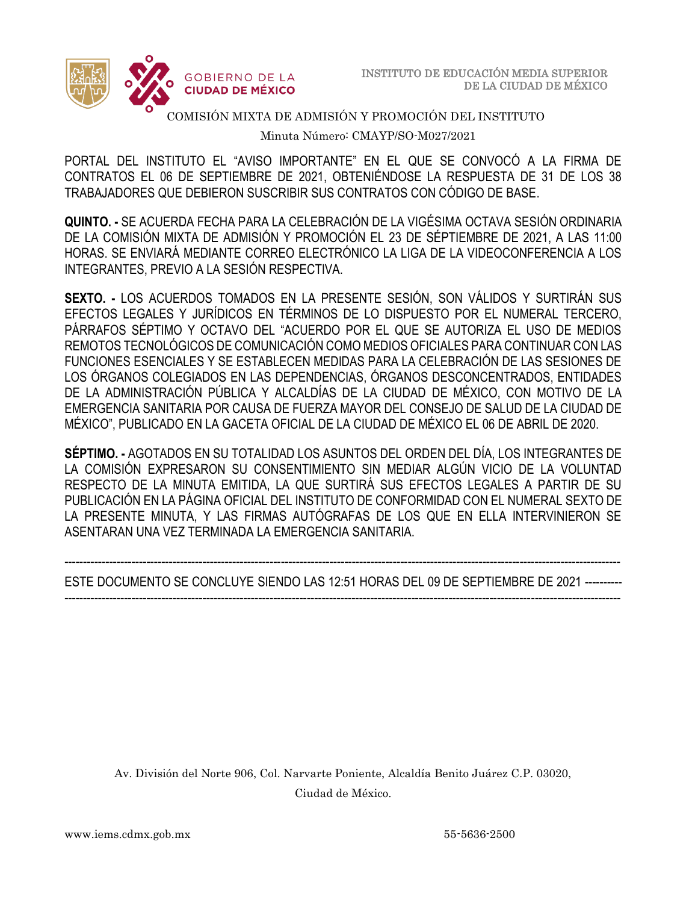

### COMISIÓN MIXTA DE ADMISIÓN Y PROMOCIÓN DEL INSTITUTO

Minuta Número: CMAYP/SO-M027/2021

 PORTAL DEL INSTITUTO EL "AVISO IMPORTANTE" EN EL QUE SE CONVOCÓ A LA FIRMA DE CONTRATOS EL 06 DE SEPTIEMBRE DE 2021, OBTENIÉNDOSE LA RESPUESTA DE 31 DE LOS 38 TRABAJADORES QUE DEBIERON SUSCRIBIR SUS CONTRATOS CON CÓDIGO DE BASE.

**QUINTO. -** SE ACUERDA FECHA PARA LA CELEBRACIÓN DE LA VIGÉSIMA OCTAVA SESIÓN ORDINARIA DE LA COMISIÓN MIXTA DE ADMISIÓN Y PROMOCIÓN EL 23 DE SÉPTIEMBRE DE 2021, A LAS 11:00 HORAS. SE ENVIARÁ MEDIANTE CORREO ELECTRÓNICO LA LIGA DE LA VIDEOCONFERENCIA A LOS INTEGRANTES, PREVIO A LA SESIÓN RESPECTIVA.

**SEXTO. -** LOS ACUERDOS TOMADOS EN LA PRESENTE SESIÓN, SON VÁLIDOS Y SURTIRÁN SUS EFECTOS LEGALES Y JURÍDICOS EN TÉRMINOS DE LO DISPUESTO POR EL NUMERAL TERCERO, PÁRRAFOS SÉPTIMO Y OCTAVO DEL "ACUERDO POR EL QUE SE AUTORIZA EL USO DE MEDIOS REMOTOS TECNOLÓGICOS DE COMUNICACIÓN COMO MEDIOS OFICIALES PARA CONTINUAR CON LAS FUNCIONES ESENCIALES Y SE ESTABLECEN MEDIDAS PARA LA CELEBRACIÓN DE LAS SESIONES DE LOS ÓRGANOS COLEGIADOS EN LAS DEPENDENCIAS, ÓRGANOS DESCONCENTRADOS, ENTIDADES DE LA ADMINISTRACIÓN PÚBLICA Y ALCALDÍAS DE LA CIUDAD DE MÉXICO, CON MOTIVO DE LA EMERGENCIA SANITARIA POR CAUSA DE FUERZA MAYOR DEL CONSEJO DE SALUD DE LA CIUDAD DE MÉXICO", PUBLICADO EN LA GACETA OFICIAL DE LA CIUDAD DE MÉXICO EL 06 DE ABRIL DE 2020.

**SÉPTIMO. -** AGOTADOS EN SU TOTALIDAD LOS ASUNTOS DEL ORDEN DEL DÍA, LOS INTEGRANTES DE LA COMISIÓN EXPRESARON SU CONSENTIMIENTO SIN MEDIAR ALGÚN VICIO DE LA VOLUNTAD RESPECTO DE LA MINUTA EMITIDA, LA QUE SURTIRÁ SUS EFECTOS LEGALES A PARTIR DE SU PUBLICACIÓN EN LA PÁGINA OFICIAL DEL INSTITUTO DE CONFORMIDAD CON EL NUMERAL SEXTO DE LA PRESENTE MINUTA, Y LAS FIRMAS AUTÓGRAFAS DE LOS QUE EN ELLA INTERVINIERON SE ASENTARAN UNA VEZ TERMINADA LA EMERGENCIA SANITARIA.

### ----------------------------------------------------------------------------------------------------------------------------------------------------- ESTE DOCUMENTO SE CONCLUYE SIENDO LAS 12:51 HORAS DEL 09 DE SEPTIEMBRE DE 2021 ---------- -----------------------------------------------------------------------------------------------------------------------------------------------------

Av. División del Norte 906, Col. Narvarte Poniente, Alcaldía Benito Juárez C.P. 03020, Ciudad de México.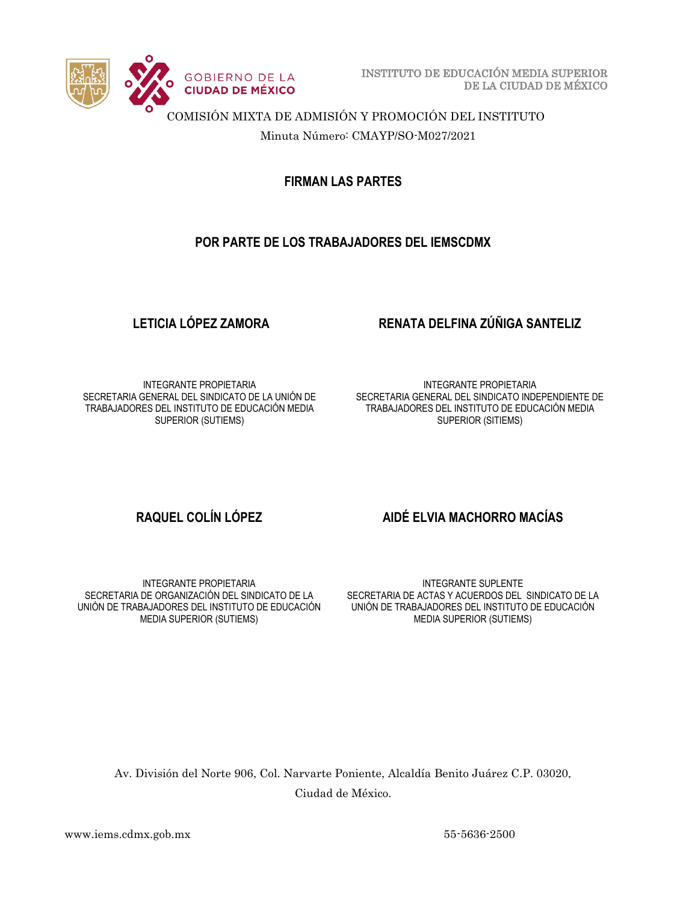

INSTITUTO DE EDUCACIÓN MEDIA SUPERIOR DE LA CIUDAD DE MÉXICO

COMISIÓN MIXTA DE ADMISIÓN Y PROMOCIÓN DEL INSTITUTO

Minuta Número: CMAYP/SO-M027/2021

**FIRMAN LAS PARTES**

# **POR PARTE DE LOS TRABAJADORES DEL IEMSCDMX**

## **LETICIA LÓPEZ ZAMORA RENATA DELFINA ZÚÑIGA SANTELIZ**

INTEGRANTE PROPIETARIA SECRETARIA GENERAL DEL SINDICATO DE LA UNIÓN DE TRABAJADORES DEL INSTITUTO DE EDUCACIÓN MEDIA SUPERIOR (SUTIEMS)

INTEGRANTE PROPIETARIA SECRETARIA GENERAL DEL SINDICATO INDEPENDIENTE DE TRABAJADORES DEL INSTITUTO DE EDUCACIÓN MEDIA SUPERIOR (SITIEMS)

### INTEGRANTE PROPIETARIA SECRETARIA DE ORGANIZACIÓN DEL SINDICATO DE LA UNIÓN DE TRABAJADORES DEL INSTITUTO DE EDUCACIÓN MEDIA SUPERIOR (SUTIEMS)

# **RAQUEL COLÍN LÓPEZ AIDÉ ELVIA MACHORRO MACÍAS**

INTEGRANTE SUPLENTE SECRETARIA DE ACTAS Y ACUERDOS DEL SINDICATO DE LA UNIÓN DE TRABAJADORES DEL INSTITUTO DE EDUCACIÓN MEDIA SUPERIOR (SUTIEMS)

Av. División del Norte 906, Col. Narvarte Poniente, Alcaldía Benito Juárez C.P. 03020, Ciudad de México.